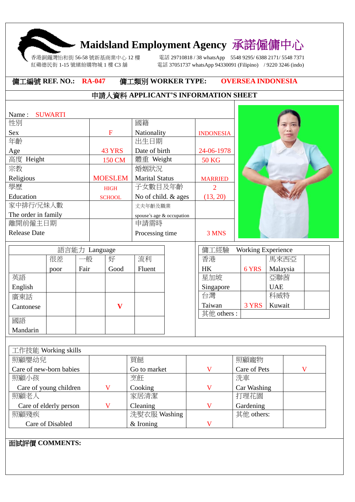## **Maidsland Employment Agency** 承諾僱傭中心

紅磡德民街 1-15 號繽紛購物城 1 樓 C3 舖

香港銅鑼灣怡和街 56-58 號新基商業中心 12 樓 電話 29710818 / 38 whatsApp 5548 9295/ 6388 2171/ 5548 7371 電話 37051737 whatsApp 94330091 (Filipino) / 9220 3246 (indo)

 $\mathbf{I}$ 

## 傭工編號 **REF. NO.: RA-047** 傭工類別 **WORKER TYPE: OVERSEA INDONESIA**

## 申請人資料 **APPLICANT'S INFORMATION SHEET**

| Name:               | <b>SUWARTI</b> |               |               |                                         |      |                           |       |            |  |
|---------------------|----------------|---------------|---------------|-----------------------------------------|------|---------------------------|-------|------------|--|
| 性別                  |                |               |               | 國籍                                      |      |                           |       |            |  |
| Sex                 |                |               | $\mathbf F$   | Nationality                             |      | <b>INDONESIA</b>          |       |            |  |
| 年齡                  |                |               |               | 出生日期                                    |      |                           |       |            |  |
| Age                 |                |               | <b>43 YRS</b> | Date of birth                           |      | 24-06-1978                |       |            |  |
| 高度 Height           |                |               | 150 CM        | 體重 Weight                               |      | <b>50 KG</b>              |       |            |  |
| 宗教                  |                |               |               | 婚姻狀況                                    |      |                           |       |            |  |
| Religious           |                |               |               | <b>MOESLEM</b><br><b>Marital Status</b> |      | <b>MARRIED</b>            |       |            |  |
| 學歷                  |                |               | <b>HIGH</b>   | 子女數目及年齡                                 |      | 2                         |       |            |  |
| Education           |                |               | <b>SCHOOL</b> | No of child. & ages                     |      | (13, 20)                  |       |            |  |
| 家中排行/兄妹人數           |                |               |               | 丈夫年齡及職業                                 |      |                           |       |            |  |
| The order in family |                |               |               | spouse's age & occupation               |      |                           |       |            |  |
| 離開前僱主日期             |                |               |               | 申請需時                                    |      |                           |       |            |  |
| <b>Release Date</b> |                |               |               | Processing time                         |      | 3 MNS                     |       |            |  |
|                     |                |               |               |                                         |      |                           |       |            |  |
|                     |                | 語言能力 Language |               |                                         | 傭工經驗 | <b>Working Experience</b> |       |            |  |
|                     | 很差             | 一般            | 好             | 流利                                      |      | 香港                        |       | 馬來西亞       |  |
|                     | poor           | Fair          | Good          | Fluent                                  |      | <b>HK</b>                 | 6 YRS | Malaysia   |  |
| 英語                  |                |               |               |                                         |      | 星加坡                       |       | 亞聯茜        |  |
| English             |                |               |               |                                         |      | Singapore                 |       | <b>UAE</b> |  |
| 廣東話                 |                |               |               |                                         |      | 台灣                        |       | 科威特        |  |
| Cantonese           |                |               | $\mathbf{V}$  |                                         |      | Taiwan                    | 3 YRS | Kuwait     |  |

| 廣東話       |  |  | 百湾         |       | 杆股  |
|-----------|--|--|------------|-------|-----|
| Cantonese |  |  | Taiwan     | 3 YRS | Kuw |
|           |  |  | 其他 others: |       |     |
| 國語        |  |  |            |       |     |
| Mandarin  |  |  |            |       |     |
|           |  |  |            |       |     |

| 工作技能 Working skills     |  |              |   |              |  |  |  |  |  |
|-------------------------|--|--------------|---|--------------|--|--|--|--|--|
| 照顧嬰幼兒                   |  | 買餸           |   | 照顧寵物         |  |  |  |  |  |
| Care of new-born babies |  | Go to market |   | Care of Pets |  |  |  |  |  |
| 照顧小孩                    |  | 烹飪           |   | 洗車           |  |  |  |  |  |
| Care of young children  |  | Cooking      | V | Car Washing  |  |  |  |  |  |
| 照顧老人                    |  | 家居清潔         |   | 打理花園         |  |  |  |  |  |
| Care of elderly person  |  | Cleaning     |   | Gardening    |  |  |  |  |  |
| 照顧殘疾                    |  | 洗熨衣服 Washing |   | 其他 others:   |  |  |  |  |  |
| Care of Disabled        |  | $&$ Ironing  |   |              |  |  |  |  |  |

面試評價 **COMMENTS:**